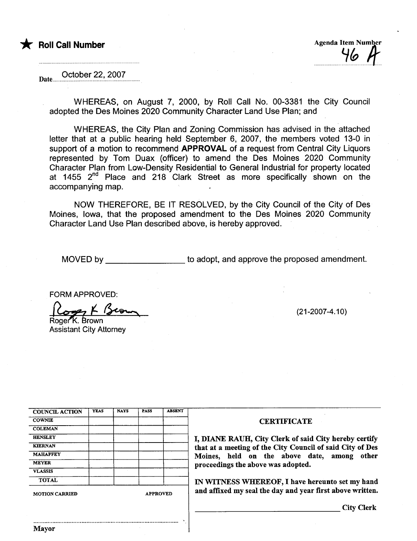

\* Roll Call Number Agenda Item Number Agenda Item Number Agenda Item Number Agenda Item Number Agenda Item Number H.HH.H....H.HH~~HHH!t

October 22,2007 Date..

> WHEREAS, on August 7, 2000, by Roll Call No. 00-3381 the City Council adopted the Des Moines 2020 Community Character Land Use Plan; and

> WHEREAS, the City Plan and Zoning Commission has advised in the attached letter that at a public hearing held September 6, 2007, the members voted 13-0 in support of a motion to recommend **APPROVAL** of a request from Central City Liquors represented by Tom Duax (officer) to amend the Des Moines 2020 Community Character Plan from Low-Density Residential to General Industrial for property located at 1455 2<sup>nd</sup> Place and 218 Clark Street as more specifically shown on the accompanying map.

> NOW THEREFORE, BE IT RESOLVED, by the City Council of the City of Des Moines, Iowa, that the proposed amendment to the Des Moines 2020 Community Character Land Use Plan described above, is hereby approved.

MOVED by to adopt, and approve the proposed amendment.

FORM APPROVED:<br>Copy K Brown

Assistant City Attorney

(21-2007 -4.10)

| <b>COUNCIL ACTION</b> | <b>YEAS</b> | <b>NAYS</b> | <b>PASS</b> | <b>ABSENT</b> |
|-----------------------|-------------|-------------|-------------|---------------|
| <b>COWNIE</b>         |             |             |             |               |
| <b>COLEMAN</b>        |             |             |             |               |
| <b>HENSLEY</b>        |             |             |             |               |
| <b>KIERNAN</b>        |             |             |             |               |
| <b>MAHAFFEY</b>       |             |             |             |               |
| <b>MEYER</b>          |             |             |             |               |
| <b>VLASSIS</b>        |             |             |             |               |
| <b>TOTAL</b>          |             |             |             |               |

..........................................................................................

,

#### **CERTIFICATE**

I, DIANE RAUH, City Clerk of said City hereby certify that at a meeting of the City Council of said City of Des Moines, held on the above date, among other proceedings the above was adopted.

IN WITNESS WHEREOF, I have hereunto set my hand and affixed my seal the day and year first above written.

City Clerk

Mayor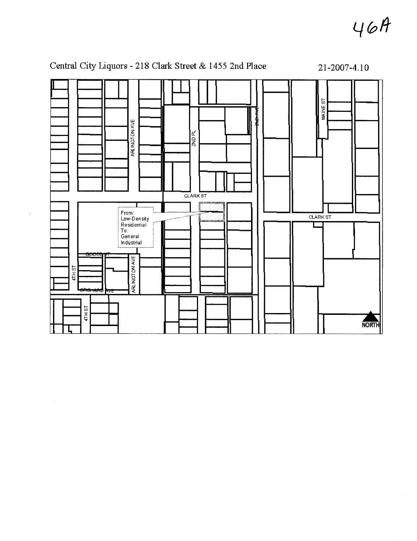$46A$ 



Central City Liquors - 218 Clark Street & 1455 2nd Place 21-2007-4.10

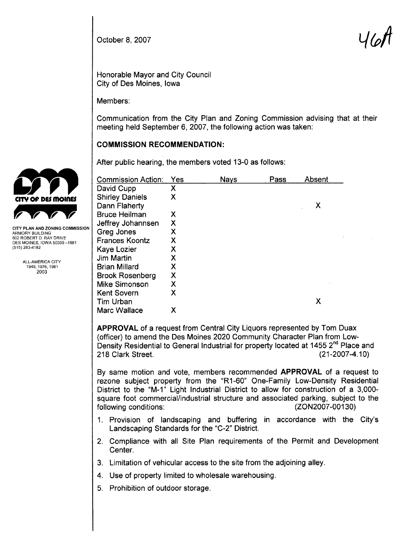October 8, 2007  $\mathcal{U}(\mathcal{Q})$  is a set of  $\mathcal{U}(\mathcal{Q})$  is a set of  $\mathcal{U}(\mathcal{Q})$ 

Honorable Mayor and City Council City of Des Moines, Iowa

Members:

Communication from the City Plan and Zoning Commission advising that at their meeting held September 6,2007, the following action was taken:

## COMMISSION RECOMMENDATION:

After public hearing, the members voted 13-0 as follows:

| <b>Commission Action:</b> | Yes | <b>Nays</b> | Pass | Absent |
|---------------------------|-----|-------------|------|--------|
| David Cupp                | Х   |             |      |        |
| <b>Shirley Daniels</b>    | X   |             |      |        |
| Dann Flaherty             |     |             |      | χ      |
| <b>Bruce Heilman</b>      | X   |             |      |        |
| Jeffrey Johannsen         | X   |             |      |        |
| Greg Jones                | X   |             |      |        |
| <b>Frances Koontz</b>     | X   |             |      |        |
| Kaye Lozier               | X   |             |      |        |
| <b>Jim Martin</b>         | X   |             |      |        |
| <b>Brian Millard</b>      | X   |             |      |        |
| <b>Brook Rosenberg</b>    | X   |             |      |        |
| <b>Mike Simonson</b>      | X   |             |      |        |
| Kent Sovern               | x   |             |      |        |
| Tim Urban                 |     |             |      | х      |
| Marc Wallace              | Х   |             |      |        |

APPROVAL of a request from Central City Liquors represented by Tom Duax (officer) to amend the Des Moines 2020 Community Character Plan from Low-Density Residential to General Industrial for property located at 1455 2nd Place and 218 Clark Street. (21-2007 -4.10)

By same motion and vote, members recommended APPROVAL of a request to rezone subject property from the "R1-60" One-Family Low-Density Residential District to the "M-1" Light Industrial District to allow for construction of a 3,000 square foot commercial/industrial structure and associated parking, subject to the following conditions: (ZON2007-00130) following conditions:

- 1. Provision of landscaping and buffering in accordance with the City's Landscaping Standards for the "C-2" District.
- 2, Compliance with all Site Plan requirements of the Permit and Development Center.
- 3. Limitation of vehicular access to the site from the adjoining alley,
- 4, Use of property limited to wholesale warehousing,
- 5. Prohibition of outdoor storage.



ARMORY BUILDING 602 ROBERT D. RAY DRIVE DES MOINES, IOWA 50309-1881 (515) 283-4182

> ALL-AMERICA CITY 1949,1976,1981 2003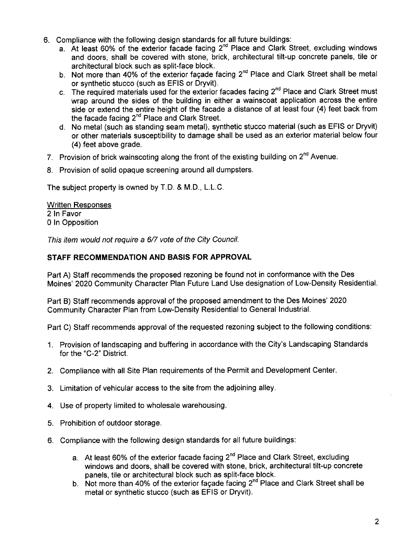- 6. Compliance with the following design standards for all future buildings:
	- a. At least 60% of the exterior facade facing  $2^{nd}$  Place and Clark Street, excluding windows and doors, shall be covered with stone, brick, architectural tilt-up concrete panels, tile or architectural block such as split-face block.
	- b. Not more than 40% of the exterior facade facing 2<sup>nd</sup> Place and Clark Street shall be metal or synthetic stucco (such as EFIS or Dryvit).
	- c. The required materials used for the exterior facades facing  $2^{nd}$  Place and Clark Street must wrap around the sides of the building in either a wainscoat application across the entire side or extend the entire height of the facade a distance of at least four (4) feet back from the facade facing  $2^{nd}$  Place and Clark Street.
	- d, No metal (such as standing seam metal), synthetic stucco material (such as EFIS or Dryvit) or other materials susceptibility to damage shall be used as an exterior material below four (4) feet above grade.
- 7. Provision of brick wainscoting along the front of the existing building on 2<sup>nd</sup> Avenue.
- 8, Provision of solid opaque screening around all dumpsters,

The subject property is owned by T.D. & M.D., L.L.C.

Written Responses 2 In Favor o In Opposition

This item would not require a 6/7 vote of the City Council.

## STAFF RECOMMENDATION AND BASIS FOR APPROVAL

Part A) Staff recommends the proposed rezoning be found not in conformance with the Des Moines' 2020 Community Character Plan Future Land Use designation of Low-Density ResidentiaL.

Part B) Staff recommends approval of the proposed amendment to the Des Moines' 2020 Community Character Plan from Low-Density Residential to General IndustriaL.

Part C) Staff recommends approval of the requested rezoning subject to the following conditions:

- 1. Provision of landscaping and buffering in accordance with the City's Landscaping Standards for the "C-2" District.
- 2. Compliance with all Site Plan requirements of the Permit and Development Center.
- 3. Limitation of vehicular access to the site from the adjoining alley.
- 4. Use of property limited to wholesale warehousing.
- 5. Prohibition of outdoor storage.
- 6, Compliance with the following design standards for all future buildings:
	- a. At least 60% of the exterior facade facing  $2^{nd}$  Place and Clark Street, excluding windows and doors, shall be covered with stone, brick, architectural tilt-up concrete panels, tile or architectural block such as split-face block.
	- b. Not more than 40% of the exterior façade facing  $2^{nd}$  Place and Clark Street shall be metal or synthetic stucco (such as EFIS or Dryvit).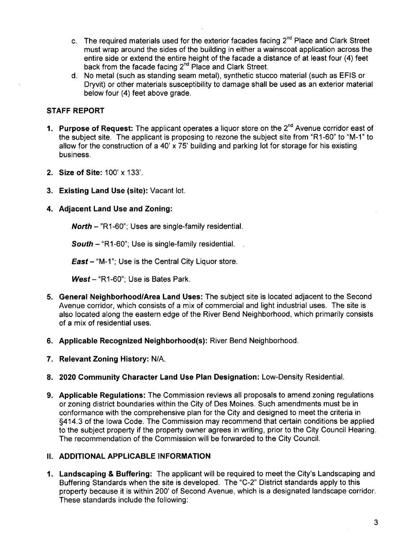- c. The required materials used for the exterior facades facing  $2^{nd}$  Place and Clark Street must wrap around the sides of the building in either a wainscoat application across the entire side or extend the entire height of the facade a distance of at least four (4) feet back from the facade facing 2<sup>nd</sup> Place and Clark Street.
- d. No metal (such as standing seam metal), synthetic stucco material (such as EFIS or Dryvit) or other materials susceptibility to damage shall be used as an exterior material below four (4) feet above grade,

# STAFF REPORT

- 1. Purpose of Request: The applicant operates a liquor store on the  $2^{nd}$  Avenue corridor east of the subject site, The applicant is proposing to rezone the subject site from "R 1-60" to "M-1" to allow for the construction of a 40' x 75' building and parking lot for storage for his existing business,
- 2. Size of Site: 100' x 133'.
- 3. Existing Land Use (site): Vacant lot.

### 4. Adjacent Land Use and Zoning:

**North**  $-$  "R1-60"; Uses are single-family residential.

South  $-$  "R1-60"; Use is single-family residential.

**East** – "M-1"; Use is the Central City Liquor store.

 $West - "R1-60"$ ; Use is Bates Park.

- 5. General Neighborhood/Area Land Uses: The subject site is located adjacent to the Second Avenue corridor, which consists of a mix of commercial and light industrial uses. The site is also located along the eastern edge of the River Bend Neighborhood, which primarily consists of a mix of residential uses.
- 6. Applicable Recognized Neighborhood(s): River Bend Neighborhood,
- 7. Relevant Zoning History: N/A.
- 8. 2020 Community Character Land Use Plan Designation: Low-Density ResidentiaL.
- 9. Applicable Regulations: The Commission reviews all proposals to amend zoning regulations or zoning district boundaries within the City of Des Moines. Such amendments must be in conformance with the comprehensive plan for the City and designed to meet the criteria in §414.3 of the Iowa Code. The Commission may recommend that certain conditions be applied to the subject property if the property owner agrees in writing, prior to the City Council Hearing. The recommendation of the Commission will be forwarded to the City CounciL.

## II. ADDITIONAL APPLICABLE INFORMATION

1. Landscaping & Buffering: The applicant will be required to meet the City's Landscaping and Buffering Standards when the site is developed. The "C-2" District standards apply to this property because it is within 200' of Second Avenue, which is a designated landscape corridor. These standards include the following: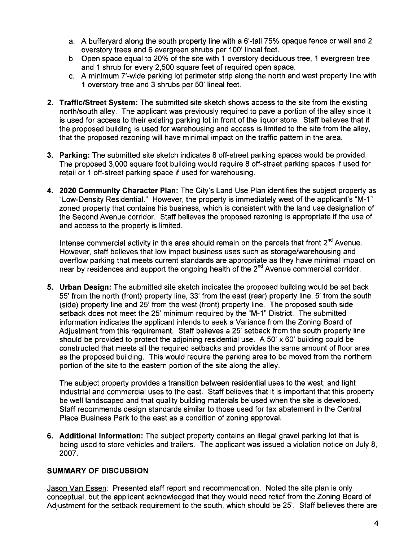- a. A bufferyard along the south property line with a 6'-tall 75% opaque fence or wall and 2 overstory trees and 6 evergreen shrubs per 100' lineal feet.
- b. Open space equal to 20% of the site with 1 overstory deciduous tree, 1 evergreen tree and 1 shrub for every 2,500 square feet of required open space.
- c. A minimum T-wide parking lot perimeter strip along the north and west property line with 1 overstory tree and 3 shrubs per 50' lineal feet.
- 2. Traffic/Street System: The submitted site sketch shows access to the site from the existing north/south alley, The applicant was previously required to pave a portion of the alley since it is used for access to their existing parking lot in front of the liquor store. Staff believes that if the proposed building is used for warehousing and access is limited to the site from the alley, that the proposed rezoning will have minimal impact on the traffc pattern in the area.
- 3. Parking: The submitted site sketch indicates 8 off-street parking spaces would be provided. The proposed 3,000 square foot building would require 8 off-street parking spaces if used for retail or 1 off-street parking space if used for warehousing.
- 4. 2020 Community Character Plan: The City's Land Use Plan identifies the subject property as "Low-Density ResidentiaL." However, the property is immediately west of the applicant's "M-1" zoned property that contains his business, which is consistent with the land use designation of the Second Avenue corridor. Staff believes the proposed rezoning is appropriate if the use of and access to the property is limited,

Intense commercial activity in this area should remain on the parcels that front  $2^{nd}$  Avenue. However, staff believes that low impact business uses such as storage/warehousing and overflow parking that meets current standards are appropriate as they have minimal impact on near by residences and support the ongoing health of the 2<sup>nd</sup> Avenue commercial corridor.

5. Urban Design: The submitted site sketch indicates the proposed building would be set back 55' from the north (front) property line, 33' from the east (rear) property line, 5' from the south (side) property line and 25' from the west (front) property line. The proposed south side setback does not meet the 25' minimum required by the "M-1" District. The submitted information indicates the applicant intends to seek a Variance from the Zoning Board of Adjustment from this requirement. Staff believes a 25' setback from the south property line should be provided to protect the adjoining residential use. A 50'  $\times$  60' building could be constructed that meets all the required setbacks and provides the same amount of floor area as the proposed building, This would require the parking area to be moved from the northern portion of the site to the eastern portion of the site along the alley,

The subject property provides a transition between residential uses to the west, and light industrial and commercial uses to the east. Staff believes that it is important that this property be well landscaped and that quality building materials be used when the site is developed, Staff recommends design standards similar to those used for tax abatement in the Central Place Business Park to the east as a condition of zoning approvaL.

6. Additional Information: The subject property contains an illegal gravel parking lot that is being used to store vehicles and trailers, The applicant was issued a violation notice on July 8, 2007.

# SUMMARY OF DISCUSSION

Jason Van Essen: Presented staff report and recommendation. Noted the site plan is only conceptual, but the applicant acknowledged that they would need relief from the Zoning Board of Adjustment for the setback requirement to the south, which should be 25', Staff believes there are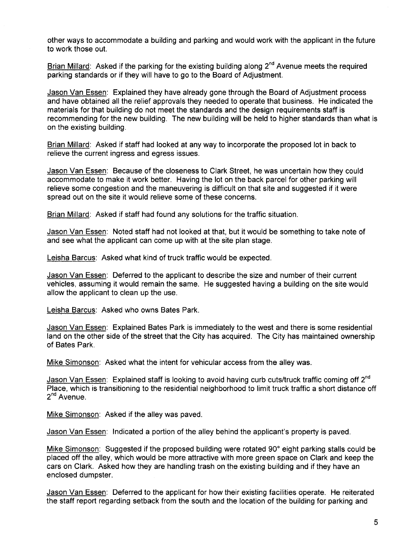other ways to accommodate a building and parking and would work with the applicant in the future to work those out.

Brian Millard: Asked if the parking for the existing building along 2<sup>nd</sup> Avenue meets the required parking standards or if they will have to go to the Board of Adjustment.

Jason Van Essen: Explained they have already gone through the Board of Adjustment process and have obtained all the relief approvals they needed to operate that business. He indicated the materials for that building do not meet the standards and the design requirements staff is recommending for the new building, The new building will be held to higher standards than what is on the existing building,

Brian Millard: Asked if staff had looked at any way to incorporate the proposed lot in back to relieve the current ingress and egress issues.

Jason Van Essen: Because of the closeness to Clark Street, he was uncertain how they could accommodate to make it work better, Having the lot on the back parcel for other parking will relieve some congestion and the maneuvering is difficult on that site and suggested if it were spread out on the site it would relieve some of these concerns,

Brian Millard: Asked if staff had found any solutions for the traffic situation.

Jason Van Essen: Noted staff had not looked at that, but it would be something to take note of and see what the applicant can come up with at the site plan stage.

Leisha Barcus: Asked what kind of truck traffic would be expected,

Jason Van Essen: Deferred to the applicant to describe the size and number of their current vehicles, assuming it would remain the same. He suggested having a building on the site would allow the applicant to clean up the use.

Leisha Barcus: Asked who owns Bates Park,

Jason Van Essen: Explained Bates Park is immediately to the west and there is some residential land on the other side of the street that the City has acquired, The City has maintained ownership of Bates Park,

Mike Simonson: Asked what the intent for vehicular access from the alley was.

Jason Van Essen: Explained staff is looking to avoid having curb cuts/truck traffic coming off  $2^{nd}$ Place, which is transitioning to the residential neighborhood to limit truck traffic a short distance off  $2^{nd}$  Avenue.

Mike Simonson: Asked if the alley was paved.

Jason Van Essen: Indicated a portion of the alley behind the applicant's property is paved,

Mike Simonson: Suggested if the proposed building were rotated 90° eight parking stalls could be placed off the alley, which would be more attractive with more green space on Clark and keep the cars on Clark. Asked how they are handling trash on the existing building and if they have an enclosed dumpster.

Jason Van Essen: Deferred to the applicant for how their existing facilities operate. He reiterated the staff report regarding setback from the south and the location of the building for parking and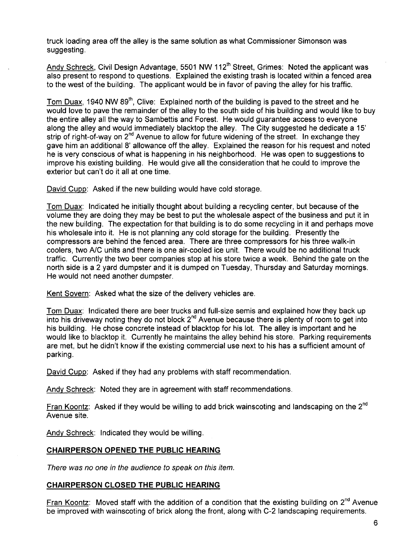truck loading area off the alley is the same solution as what Commissioner Simonson was suggesting.

Andy Schreck, Civil Design Advantage, 5501 NW 112<sup>th</sup> Street, Grimes: Noted the applicant was also present to respond to questions. Explained the existing trash is located within a fenced area to the west of the building. The applicant would be in favor of paving the alley for his traffic.

Tom Duax, 1940 NW 89<sup>th</sup>, Clive: Explained north of the building is paved to the street and he would love to pave the remainder of the alley to the south side of his building and would like to buy the entire alley all the way to Sambettis and Forest. He would guarantee access to everyone along the alley and would immediately blacktop the alley. The City suggested he dedicate a 15' strip of right-of-way on 2<sup>nd</sup> Avenue to allow for future widening of the street. In exchange they gave him an additional 8' allowance off the alley. Explained the reason for his request and noted he is very conscious of what is happening in his neighborhood, He was open to suggestions to improve his existing building. He would give all the consideration that he could to improve the exterior but can't do it all at one time.

David Cupp: Asked if the new building would have cold storage.

Tom Duax: Indicated he initially thought about building a recycling center, but because of the volume they are doing they may be best to put the wholesale aspect of the business and put it in the new building. The expectation for that building is to do some recycling in it and perhaps move his wholesale into it. He is not planning any cold storage for the building. Presently the compressors are behind the fenced area, There are three compressors for his three walk-in coolers, two A/C units and there is one air-cooled ice unit. There would be no additional truck traffic. Currently the two beer companies stop at his store twice a week. Behind the gate on the north side is a 2 yard dumpster and it is dumped on Tuesday, Thursday and Saturday mornings. He would not need another dumpster.

Kent Sovern: Asked what the size of the delivery vehicles are,

Tom Duax: Indicated there are beer trucks and full-size semis and explained how they back up into his driveway noting they do not block  $2^{nd}$  Avenue because there is plenty of room to get into his building, He chose concrete instead of blacktop for his lot. The alley is important and he would like to blacktop it. Currently he maintains the alley behind his store. Parking requirements are met, but he didn't know if the existing commercial use next to his has a sufficient amount of parking.

David Cupp: Asked if they had any problems with staff recommendation.

Andy Schreck: Noted they are in agreement with staff recommendations.

Fran Koontz: Asked if they would be willing to add brick wainscoting and landscaping on the 2<sup>nd</sup> Avenue site,

Andy Schreck: Indicated they would be willing.

### CHAIRPERSON OPENED THE PUBLIC HEARING

There was no one in the audience to speak on this item.

#### CHAIRPERSON CLOSED THE PUBLIC HEARING

Fran Koontz: Moved staff with the addition of a condition that the existing building on  $2^{nd}$  Avenue be improved with wainscoting of brick along the front, along with C-2 landscaping requirements,